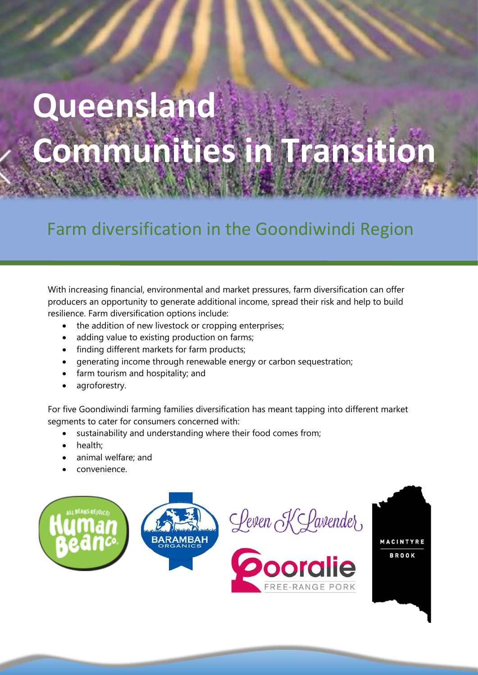# **Queensland Communities in Transition**

# Farm diversification in the Goondiwindi Region

With increasing financial, environmental and market pressures, farm diversification can offer producers an opportunity to generate additional income, spread their risk and help to build resilience. Farm diversification options include:

- the addition of new livestock or cropping enterprises;
- adding value to existing production on farms;
- finding different markets for farm products;
- generating income through renewable energy or carbon sequestration;
- farm tourism and hospitality; and
- agroforestry.

For five Goondiwindi farming families diversification has meant tapping into different market segments to cater for consumers concerned with:

- sustainability and understanding where their food comes from;
- health:
- animal welfare; and
- convenience.

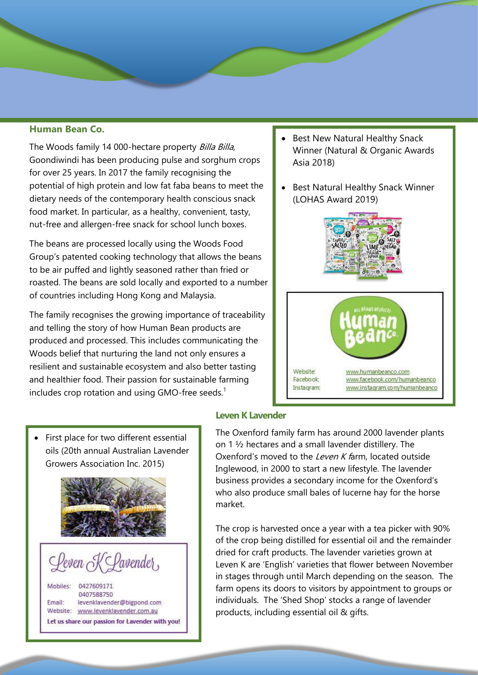#### **Human Bean Co.**

The Woods family 14 000-hectare property Billa Billa, Goondiwindi has been producing pulse and sorghum crops for over 25 years. In 2017 the family recognising the potential of high protein and low fat faba beans to meet the dietary needs of the contemporary health conscious snack food market. In particular, as a healthy, convenient, tasty, nut-free and allergen-free snack for school lunch boxes.

The beans are processed locally using the Woods Food Group's patented cooking technology that allows the beans to be air puffed and lightly seasoned rather than fried or roasted. The beans are sold locally and exported to a number of countries including Hong Kong and Malaysia.

The family recognises the growing importance of traceability and telling the story of how Human Bean products are produced and processed. This includes communicating the Woods belief that nurturing the land not only ensures a resilient and sustainable ecosystem and also better tasting and healthier food. Their passion for sustainable farming includes crop rotation and using GMO-free seeds.<sup>1</sup>

- Best New Natural Healthy Snack Winner (Natural & Organic Awards Asia 2018)
- Best Natural Healthy Snack Winner (LOHAS Award 2019)



First place for two different essential oils (20th annual Australian Lavender Growers Association Inc. 2015)





Mobiles: 0427609171 0407588750 Email: levenklavender@bigpond.com Website: www.levenklavender.com.au Let us share our passion for Lavender with you!

#### **Leven K Lavender**

The Oxenford family farm has around 2000 lavender plants on 1 ½ hectares and a small lavender distillery. The Oxenford's moved to the Leven K farm, located outside Inglewood, in 2000 to start a new lifestyle. The lavender business provides a secondary income for the Oxenford's who also produce small bales of lucerne hay for the horse market.

The crop is harvested once a year with a tea picker with 90% of the crop being distilled for essential oil and the remainder dried for craft products. The lavender varieties grown at Leven K are 'English' varieties that flower between November in stages through until March depending on the season. The farm opens its doors to visitors by appointment to groups or individuals. The 'Shed Shop' stocks a range of lavender products, including essential oil & gifts.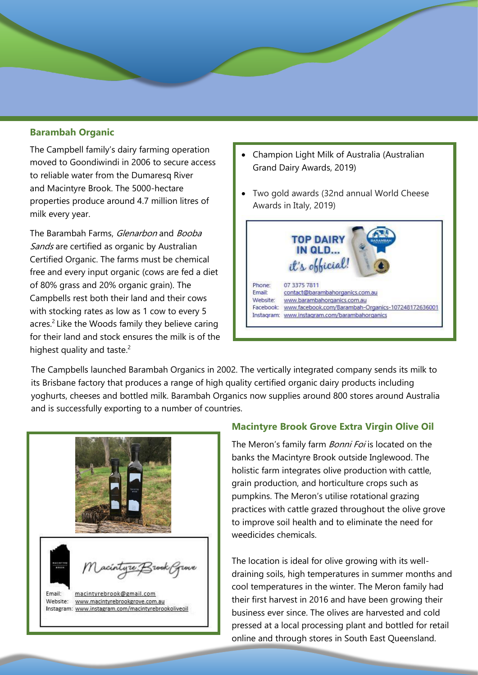## **Barambah Organic**

The Campbell family's dairy farming operation moved to Goondiwindi in 2006 to secure access to reliable water from the Dumaresq River and Macintyre Brook. The 5000-hectare properties produce around 4.7 million litres of milk every year.

The Barambah Farms, Glenarbon and Booba Sands are certified as organic by Australian Certified Organic. The farms must be chemical free and every input organic (cows are fed a diet of 80% grass and 20% organic grain). The Campbells rest both their land and their cows with stocking rates as low as 1 cow to every 5 acres.<sup>2</sup> Like the Woods family they believe caring for their land and stock ensures the milk is of the highest quality and taste. $2$ 

- Champion Light Milk of Australia (Australian Grand Dairy Awards, 2019)
- Two gold awards (32nd annual World Cheese Awards in Italy, 2019)



The Campbells launched Barambah Organics in 2002. The vertically integrated company sends its milk to its Brisbane factory that produces a range of high quality certified organic dairy products including yoghurts, cheeses and bottled milk. Barambah Organics now supplies around 800 stores around Australia and is successfully exporting to a number of countries.



#### **Macintyre Brook Grove Extra Virgin Olive Oil**

The Meron's family farm *Bonni Foi* is located on the banks the Macintyre Brook outside Inglewood. The holistic farm integrates olive production with cattle, grain production, and horticulture crops such as pumpkins. The Meron's utilise rotational grazing practices with cattle grazed throughout the olive grove to improve soil health and to eliminate the need for weedicides chemicals.

The location is ideal for olive growing with its welldraining soils, high temperatures in summer months and cool temperatures in the winter. The Meron family had their first harvest in 2016 and have been growing their business ever since. The olives are harvested and cold pressed at a local processing plant and bottled for retail online and through stores in South East Queensland.